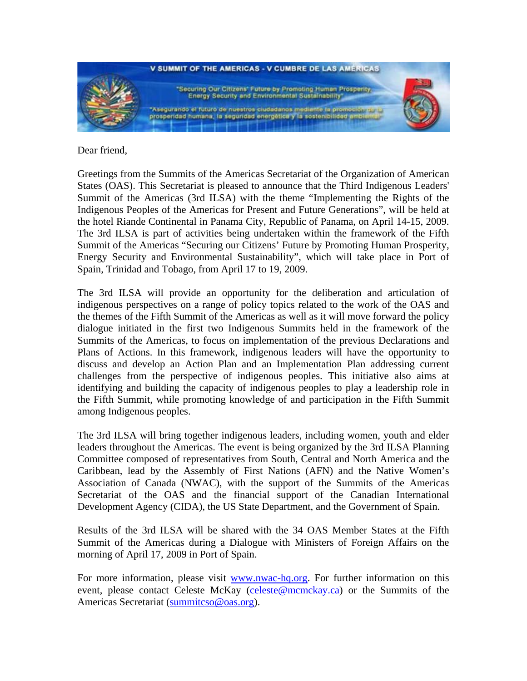

Dear friend,

Greetings from the Summits of the Americas Secretariat of the Organization of American States (OAS). This Secretariat is pleased to announce that the Third Indigenous Leaders' Summit of the Americas (3rd ILSA) with the theme "Implementing the Rights of the Indigenous Peoples of the Americas for Present and Future Generations", will be held at the hotel Riande Continental in Panama City, Republic of Panama, on April 14-15, 2009. The 3rd ILSA is part of activities being undertaken within the framework of the Fifth Summit of the Americas "Securing our Citizens' Future by Promoting Human Prosperity, Energy Security and Environmental Sustainability", which will take place in Port of Spain, Trinidad and Tobago, from April 17 to 19, 2009.

The 3rd ILSA will provide an opportunity for the deliberation and articulation of indigenous perspectives on a range of policy topics related to the work of the OAS and the themes of the Fifth Summit of the Americas as well as it will move forward the policy dialogue initiated in the first two Indigenous Summits held in the framework of the Summits of the Americas, to focus on implementation of the previous Declarations and Plans of Actions. In this framework, indigenous leaders will have the opportunity to discuss and develop an Action Plan and an Implementation Plan addressing current challenges from the perspective of indigenous peoples. This initiative also aims at identifying and building the capacity of indigenous peoples to play a leadership role in the Fifth Summit, while promoting knowledge of and participation in the Fifth Summit among Indigenous peoples.

The 3rd ILSA will bring together indigenous leaders, including women, youth and elder leaders throughout the Americas. The event is being organized by the 3rd ILSA Planning Committee composed of representatives from South, Central and North America and the Caribbean, lead by the Assembly of First Nations (AFN) and the Native Women's Association of Canada (NWAC), with the support of the Summits of the Americas Secretariat of the OAS and the financial support of the Canadian International Development Agency (CIDA), the US State Department, and the Government of Spain.

Results of the 3rd ILSA will be shared with the 34 OAS Member States at the Fifth Summit of the Americas during a Dialogue with Ministers of Foreign Affairs on the morning of April 17, 2009 in Port of Spain.

For more information, please visit [www.nwac-hq.org](http://www.nwac-hq.org/). For further information on this event, please contact Celeste McKay [\(celeste@mcmckay.ca\)](mailto:celeste@mcmckay.ca) or the Summits of the Americas Secretariat [\(summitcso@oas.org](mailto:summitcso@oas.org)).